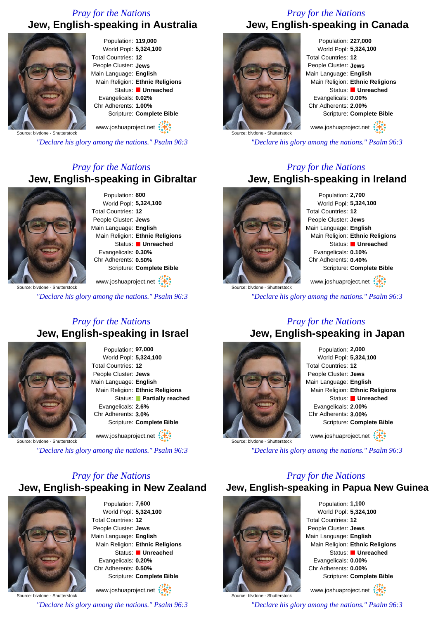## *Pray for the Nations* **Jew, English-speaking in Australia**



Population: **119,000** World Popl: **5,324,100** Total Countries: **12** People Cluster: **Jews** Main Language: **English** Main Religion: **Ethnic Religions** Status: **Unreached** Evangelicals: **0.02%** Chr Adherents: **1.00%** Scripture: **Complete Bible**

www.joshuaproject.net

Source: blvdone - Shutterstock

*"Declare his glory among the nations." Psalm 96:3*

### *Pray for the Nations* **Jew, English-speaking in Gibraltar**



Population: **800** World Popl: **5,324,100** Total Countries: **12** People Cluster: **Jews** Main Language: **English** Main Religion: **Ethnic Religions** Status: **Unreached** Evangelicals: **0.30%** Chr Adherents: **0.50%** Scripture: **Complete Bible**

Source: blydone - Shutterstock www.joshuaproject.net

*"Declare his glory among the nations." Psalm 96:3*

### *Pray for the Nations* **Jew, English-speaking in Israel**



Population: **97,000** World Popl: **5,324,100** Total Countries: **12** People Cluster: **Jews** Main Language: **English** Main Religion: **Ethnic Religions** Status: **Partially reached** Evangelicals: **2.6%** Chr Adherents: **3.0%** Scripture: **Complete Bible**

www.joshuaproject.net

Source: blydone

*"Declare his glory among the nations." Psalm 96:3*

# *Pray for the Nations* **Jew, English-speaking in New Zealand**



Population: **7,600** World Popl: **5,324,100** Total Countries: **12** People Cluster: **Jews** Main Language: **English** Main Religion: **Ethnic Religions** Status: **Unreached** Evangelicals: **0.20%** Chr Adherents: **0.50%** Scripture: **Complete Bible** www.joshuaproject.net

Source: blvdone - Shutterstock

*"Declare his glory among the nations." Psalm 96:3*

### *Pray for the Nations* **Jew, English-speaking in Canada**



Population: **227,000** World Popl: **5,324,100** Total Countries: **12** People Cluster: **Jews** Main Language: **English** Main Religion: **Ethnic Religions** Status: **Unreached** Evangelicals: **0.00%** Chr Adherents: **2.00%** Scripture: **Complete Bible**

www.joshuaproject.net

*"Declare his glory among the nations." Psalm 96:3*

### *Pray for the Nations* **Jew, English-speaking in Ireland**



Population: **2,700** World Popl: **5,324,100** Total Countries: **12** People Cluster: **Jews** Main Language: **English** Main Religion: **Ethnic Religions** Status: **Unreached** Evangelicals: **0.10%** Chr Adherents: **0.40%** Scripture: **Complete Bible** www.joshuaproject.net

*"Declare his glory among the nations." Psalm 96:3*

### *Pray for the Nations* **Jew, English-speaking in Japan**



World Popl: **5,324,100** Total Countries: **12** People Cluster: **Jews** Main Language: **English** Main Religion: **Ethnic Religions** Status: **Unreached** Evangelicals: **2.00%** Chr Adherents: **3.00%** Scripture: **Complete Bible** www.joshuaproject.net

*"Declare his glory among the nations." Psalm 96:3*

#### *Pray for the Nations*

**Jew, English-speaking in Papua New Guinea**



Source: blvdone - Shutterstock

Population: **1,100** World Popl: **5,324,100** Total Countries: **12** People Cluster: **Jews** Main Language: **English** Main Religion: **Ethnic Religions** Status: **Unreached** Evangelicals: **0.00%** Chr Adherents: **0.00%** Scripture: **Complete Bible**

www.joshuaproject.net

*"Declare his glory among the nations." Psalm 96:3*

Population: **2,000**